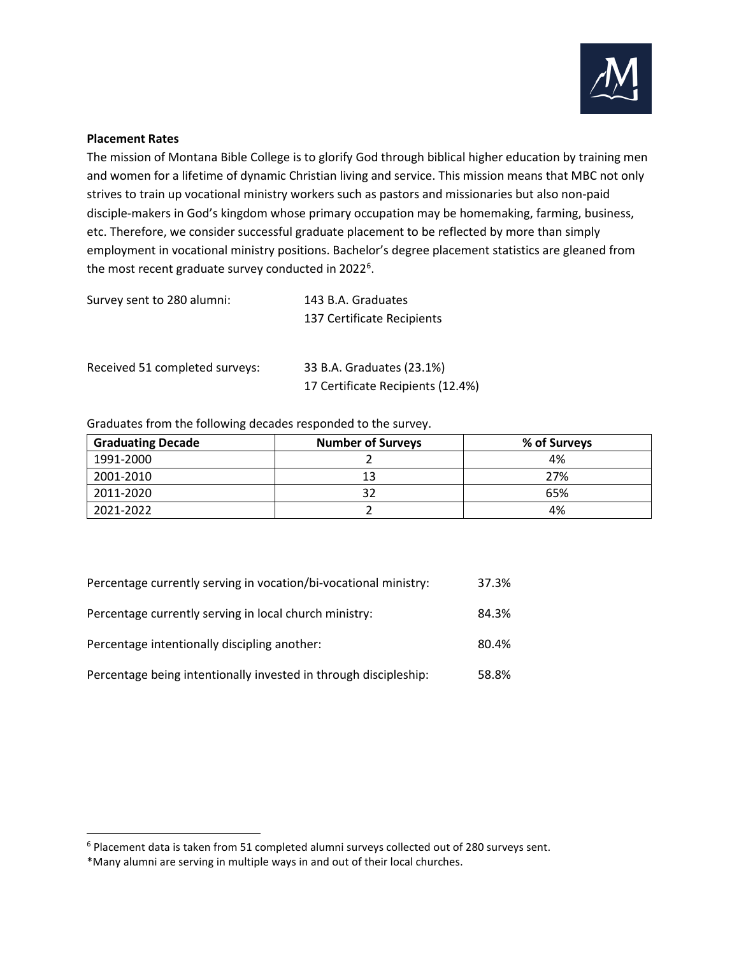

## **Placement Rates**

The mission of Montana Bible College is to glorify God through biblical higher education by training men and women for a lifetime of dynamic Christian living and service. This mission means that MBC not only strives to train up vocational ministry workers such as pastors and missionaries but also non-paid disciple-makers in God's kingdom whose primary occupation may be homemaking, farming, business, etc. Therefore, we consider successful graduate placement to be reflected by more than simply employment in vocational ministry positions. Bachelor's degree placement statistics are gleaned from the most recent graduate survey conducted in 2022<sup>[6](#page-0-0)</sup>.

Survey sent to 280 alumni: 143 B.A. Graduates 137 Certificate Recipients

Received 51 completed surveys: 33 B.A. Graduates (23.1%)

17 Certificate Recipients (12.4%)

Graduates from the following decades responded to the survey.

| <b>Graduating Decade</b> | <b>Number of Surveys</b> | % of Surveys |
|--------------------------|--------------------------|--------------|
| 1991-2000                |                          | 4%           |
| 2001-2010                | 1 ว                      | 27%          |
| 2011-2020                |                          | 65%          |
| 2021-2022                |                          | 4%           |

| Percentage currently serving in vocation/bi-vocational ministry: | 37.3% |
|------------------------------------------------------------------|-------|
| Percentage currently serving in local church ministry:           | 84.3% |
| Percentage intentionally discipling another:                     | 80.4% |
| Percentage being intentionally invested in through discipleship: | 58.8% |

<span id="page-0-0"></span><sup>6</sup> Placement data is taken from 51 completed alumni surveys collected out of 280 surveys sent.

<sup>\*</sup>Many alumni are serving in multiple ways in and out of their local churches.